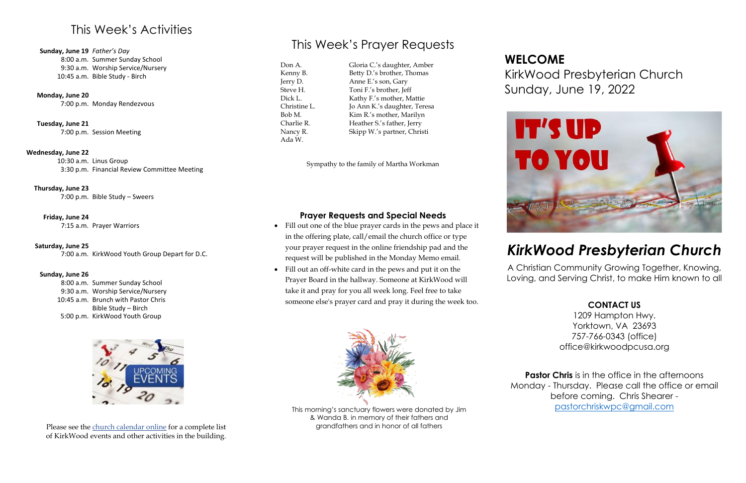## This Week's Activities

**Sunday, June 19** *Father's Day*

8:00 a.m. Summer Sunday School 9:30 a.m. Worship Service/Nursery 10:45 a.m. Bible Study - Birch

**Monday, June 20**

7:00 p.m. Monday Rendezvous

**Tuesday, June 21** 7:00 p.m. Session Meeting

#### **Wednesday, June 22**

10:30 a.m. Linus Group 3:30 p.m. Financial Review Committee Meeting

**Thursday, June 23**

7:00 p.m. Bible Study – Sweers

**Friday, June 24**

7:15 a.m. Prayer Warriors

#### **Saturday, June 25**

7:00 a.m. KirkWood Youth Group Depart for D.C.

#### **Sunday, June 26**

8:00 a.m. Summer Sunday School 9:30 a.m. Worship Service/Nursery 10:45 a.m. Brunch with Pastor Chris 5:00 p.m. KirkWood Youth Group Bible Study – Birch



## This Week's Prayer Requests

Don A. Kenny B. Jerry D. Steve H. Dick L. Christine L. Bob M. Charlie R. Nancy R. Ada W.

Gloria C.'s daughter, Amber Betty D.'s brother, Thomas Anne E.'s son, Gary Toni F.'s brother, Jeff Kathy F.'s mother, Mattie Jo Ann K.'s daughter, Teresa Kim R.'s mother, Marilyn Heather S.'s father, Jerry Skipp W.'s partner, Christi

> **Pastor Chris** is in the office in the afternoons Monday - Thursday. Please call the office or email before coming. Chris Shearer [pastorchriskwpc@gmail.com](mailto:pastorchriskwpc@gmail.com)

Sympathy to the family of Martha Workman

### **Prayer Requests and Special Needs**

- Fill out one of the blue prayer cards in the pews and place it in the offering plate, call/email the church office or type your prayer request in the online friendship pad and the request will be published in the Monday Memo email.
- Fill out an off-white card in the pews and put it on the Prayer Board in the hallway. Someone at KirkWood will take it and pray for you all week long. Feel free to take someone else's prayer card and pray it during the week too.







## KirkWood Presbyterian Church Sunday, June 19, 2022

## *KirkWood Presbyterian Church*

A Christian Community Growing Together, Knowing, Loving, and Serving Christ, to make Him known to all

#### **CONTACT US**

1209 Hampton Hwy. Yorktown, VA 23693 757-766-0343 (office) office@kirkwoodpcusa.org

Please see the [church calendar online](https://kirkwoodpcusa.org/events/) for a complete list of KirkWood events and other activities in the building.

This morning's sanctuary flowers were donated by Jim & Wanda B. in memory of their fathers and grandfathers and in honor of all fathers